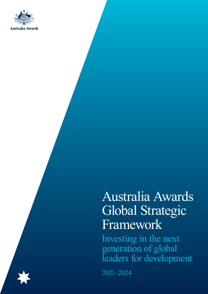

# Australia Awards Global Strategic Framework

Investing in the next generation of global leaders for development

2021–2024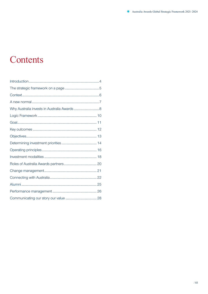# Contents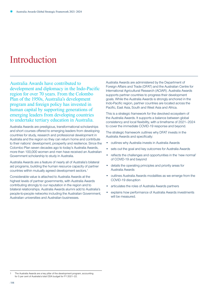### <span id="page-3-0"></span>Introduction

Australia Awards have contributed to development and diplomacy in the Indo-Pacific region for over 70 years. From the Colombo Plan of the 1950s, Australia's development program and foreign policy has invested in human capital by supporting generations of emerging leaders from developing countries to undertake tertiary education in Australia.

Australia Awards are prestigious, transformational scholarships and short courses offered to emerging leaders from developing countries for study, research and professional development in Australia and the region so they can return home and contribute to their nations' development, prosperity and resilience. Since the Colombo Plan seven decades ago to today's Australia Awards, more than 100,000 women and men have received an Australian Government scholarship to study in Australia.

Australia Awards are a feature of nearly all of Australia's bilateral aid programs, building the human resource capacity of partner countries within mutually agreed development sectors.1

Considerable value is attached to Australia Awards at the highest levels of partner governments, with Australia Awards contributing strongly to our reputation in the region and to bilateral relationships. Australia Awards alumni add to Australia's people-to-people networks including the Australian Government, Australian universities and Australian businesses.

Australia Awards are administered by the Department of Foreign Affairs and Trade (DFAT) and the Australian Centre for International Agricultural Research (ACIAR). Australia Awards supports partner countries to progress their development goals. While the Australia Awards is strongly anchored in the Indo-Pacific region, partner countries are located across the Pacific, East Asia, South and West Asia and Africa.

This is a strategic framework for the devolved ecosystem of the Australia Awards. It supports a balance between global consistency and local flexibility, with a timeframe of 2021–2024 to cover the immediate COVID-19 response and beyond.

The strategic framework outlines why DFAT invests in the Australia Awards and specifically:

- outlines why Australia invests in Australia Awards
- sets out the goal and key outcomes for Australia Awards
- reflects the challenges and opportunities in the 'new normal' of COVID-19 and beyond
- details the operating principles and priority areas for Australia Awards
- outlines Australia Awards modalities as we emerge from the COVID-19 disruption
- articulates the roles of Australia Awards partners
- explains how performance of Australia Awards investments will be measured.

The Australia Awards are a key pillar of the development program, accounting for 5 per cent of Australia's total ODA budget for FY 2021–22.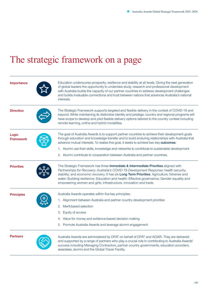# <span id="page-4-0"></span>The strategic framework on a page

| Importance                       | Education underscores prosperity, resilience and stability at all levels. Giving the next generation<br>of global leaders the opportunity to undertake study, research and professional development<br>with Australia builds the capacity of our partner countries to address development challenges<br>and builds invaluable connections and trust between nations that advances Australia's national<br>interests.                              |
|----------------------------------|---------------------------------------------------------------------------------------------------------------------------------------------------------------------------------------------------------------------------------------------------------------------------------------------------------------------------------------------------------------------------------------------------------------------------------------------------|
| <b>Direction</b>                 | The Strategic Framework supports targeted and flexible delivery in the context of COVID-19 and<br>beyond. While maintaining its distinctive identity and prestige, country and regional programs will<br>have scope to develop and pilot flexible delivery options tailored to the country context including<br>remote learning, online and hybrid modalities.                                                                                    |
| <b>Logic</b><br><b>Framework</b> | The goal of Australia Awards is to support partner countries to achieve their development goals<br>through education and knowledge transfer and to build enduring relationships with Australia that<br>advance mutual interests. To realise this goal, it seeks to achieve two key outcomes:                                                                                                                                                      |
|                                  | 1. Alumni use their skills, knowledge and networks to contribute to sustainable development                                                                                                                                                                                                                                                                                                                                                       |
|                                  | 2. Alumni contribute to cooperation between Australia and partner countries.                                                                                                                                                                                                                                                                                                                                                                      |
| <b>Priorities</b>                | The Strategic Framework has three Immediate & Intermediate Priorities aligned with<br>Partnerships for Recovery: Australia's COVID-19 Development Response: health security;<br>stability; and economic recovery. It has six Long Term Priorities: Agriculture, fisheries and<br>water; Building resilience; Education and health; Effective governance; Gender equality and<br>empowering women and girls; Infrastructure, innovation and trade. |
| <b>Principles</b>                | Australia Awards operates within five key principles:                                                                                                                                                                                                                                                                                                                                                                                             |
|                                  | 1. Alignment between Australia and partner country development priorities                                                                                                                                                                                                                                                                                                                                                                         |
|                                  | Merit-based selection<br>2.                                                                                                                                                                                                                                                                                                                                                                                                                       |
|                                  | Equity of access<br>З.                                                                                                                                                                                                                                                                                                                                                                                                                            |
|                                  | 4. Value for money and evidence-based decision making                                                                                                                                                                                                                                                                                                                                                                                             |
|                                  | 5. Promote Australia Awards and leverage alumni engagement.                                                                                                                                                                                                                                                                                                                                                                                       |
| <b>Partners</b>                  | Australia Awards are administered by DFAT on behalf of DFAT and ACIAR. They are delivered<br>and supported by a range of partners who play a crucial role in contributing to Australia Awards'<br>success including Managing Contractors, partner country governments, education providers,<br>awardees, alumni and the Global Tracer Facility.                                                                                                   |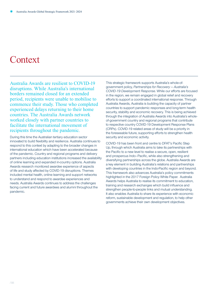### <span id="page-5-0"></span>**Context**

Australia Awards are resilient to COVID-19 disruptions. While Australia's international borders remained closed for an extended period, recipients were unable to mobilise to commence their study. Those who completed experienced delays returning to their home countries. The Australia Awards network worked closely with partner countries to facilitate the international movement of recipients throughout the pandemic.

During this time the Australian tertiary education sector innovated to build flexibility and resilience. Australia continues to respond to this context by adapting to the broader changes in international education which have been accelerated because of the pandemic. Country and regional programs and delivery partners including education institutions increased the availability of online learning and expanded in-country options. Australia Awards research monitored awardee experience of aspects of life and study affected by COVID-19 disruptions. Themes included mental health, online learning and support networks to understand and respond to awardee experiences and needs. Australia Awards continues to address the challenges facing current and future awardees and alumni throughout the pandemic.

This strategic framework supports Australia's whole-ofgovernment policy, *[Partnerships for Recovery — Australia's](https://www.dfat.gov.au/sites/default/files/partnerships-for-recovery-australias-covid-19-development-response.pdf)  [COVID-19 Development Response](https://www.dfat.gov.au/sites/default/files/partnerships-for-recovery-australias-covid-19-development-response.pdf)*. While our efforts are focused in the region, we remain engaged in global relief and recovery efforts to support a coordinated international response. Through Australia Awards, Australia is building the capacity of partner countries to support pandemic responses and long-term health security, stability and economic recovery. This is being achieved through the integration of Australia Awards into Australia's wholeof-government country and regional programs that contribute to respective country COVID-19 Development Response Plans (CRPs). COVID-19 related areas of study will be a priority in the foreseeable future, supporting efforts to strengthen health security and economic activity.

COVID-19 has been front and centre to DFAT's Pacific Step Up, through which Australia aims to take its partnerships with the Pacific to a new level to realise a secure, open, resilient and prosperous Indo–Pacific, while also strengthening and diversifying partnerships across the globe. Australia Awards are a key element in building Australia's relations and partnerships with developing countries in the Indo-Pacific region and beyond. This framework also advances Australia's policy commitments highlighted in the 2017 Foreign Policy White Paper. Australia Awards helps Australia to realise its commitment to education, training and research exchanges which build influence and strengthen people-to-people links and mutual understanding. It also enables Australia to share its experience with economic reform, sustainable development and regulation, to help other governments achieve their own development objectives.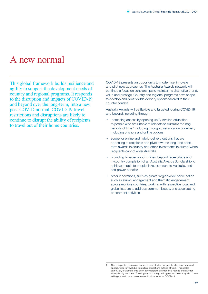### <span id="page-6-0"></span>A new normal

This global framework builds resilience and agility to support the development needs of country and regional programs. It responds to the disruption and impacts of COVID-19 and beyond over the long-term, into a new post-COVID normal. COVID-19 travel restrictions and disruptions are likely to continue to disrupt the ability of recipients to travel out of their home countries.

COVID-19 presents an opportunity to modernise, innovate and pilot new approaches. The Australia Awards network will continue a focus on scholarships to maintain its distinctive brand, value and prestige. Country and regional programs have scope to develop and pilot flexible delivery options tailored to their country context.

Australia Awards will be flexible and targeted, during COVID-19 and beyond, including through:

- increasing access by opening up Australian education to people who are unable to relocate to Australia for long periods of time <sup>2</sup> including through diversification of delivery including offshore and online options
- scope for online and hybrid delivery options that are appealing to recipients and pivot towards long- and shortterm awards in-country and other investments in alumni when recipients cannot enter Australia
- providing broader opportunities, beyond face-to-face and in-country completion of an Australia Awards Scholarship to achieve people to people links, exposure to Australia, and soft power benefits
- other innovations, such as greater region-wide participation such as alumni engagement and thematic engagement across multiple countries, working with respective local and global leaders to address common issues, and accelerating enrichment activities.

<sup>2</sup> This is expected to remove barriers to participation for people who have narrowed opportunities to travel due to multiple obligations outside of work. This relates particularly to women, who often carry responsibility for child-rearing and care for elderly family members. Traveling out of country on long term courses may also create skills gaps and place pressure on critical services for COVID-19.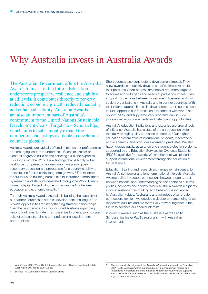### <span id="page-7-0"></span>Why Australia invests in Australia Awards

The Australian Government offers the Australia Awards to invest in the future. Education underscores prosperity, resilience and stability at all levels. It contributes directly to poverty reduction, economic growth, reduced inequality and enhanced stability. Australia Awards are also an important part of Australia's commitment to the United Nations Sustainable Development Goals (Target 4.b – Scholarships) which aims to substantially expand the number of scholarships available to developing countries globally.

Australia Awards are typically offered to mid-career professionals and emerging leaders to undertake a Bachelor, Master or Doctoral degree to build on their existing skills and expertise. This aligns with the World Bank findings that 'A highly skilled workforce comprised of workers who have a solid postsecondary education is a prerequisite for a country's ability to innovate and for its healthy long-term growth'. <sup>3</sup> The rationale for our focus on building human capital is further demonstrated by research and statistics generated through the World Bank's Human Capital Project which emphasises the link between education and economic growth.<sup>4</sup>

Through Australia Awards, Australia is building the capacity of our partner countries to address development challenges and provide opportunities for strengthening strategic partnerships. Over the past decade, this has included Australia expanding beyond traditional long-term scholarships to offer a sophisticated suite of education, training and professional development opportunities.

Short courses also contribute to development impact. They allow awardees to quickly develop specific skills to return to their positions. Short courses are nimbler and more targeted to addressing skills gaps and needs of partner countries. They support connections between government, business and civil society organisations in Australia and in partner countries. With their tailored approach to skills development, short courses can include opportunities for recipients to connect with workplace opportunities, and supplementary programs can include professional work placements and networking opportunities.

Australia's education institutions and expertise are crucial tools of influence. Australia has a state-of-the art education system that delivers high-quality education outcomes.<sup>5</sup> Our higher education system attracts international students, researchers and academics, and produces in-demand graduates. We also have rigorous quality assurance and student protection systems, supported by the Education Services for Overseas Students (ESOS) legislative framework. We are therefore well placed to support international development through the education of future leaders.

Education, training and research exchanges remain central to Australia's soft power and long-term national interests. Australia Awards builds invaluable connections between people, trust between nations, and understanding of one another's cultures, politics, economy and society. When Australia Awards recipients study in Australia their thinking and behaviour is influenced by Australian values. Australians and awardees often create connections for life – we develop a deeper understanding of our respective cultures and are more likely to work together in the future to advance our shared interests.

In-country Awards such as the Australia Awards Pacific Scholarships foster Pacific regionalism with Australian involvement.

<sup>3</sup> World Bank. 2018. World Bank Education Overview : Higher Education (English). Washington, D.C: World Bank Group.

<sup>4</sup> Source: The World Bank Human Capital website

<sup>5</sup> The framework also aligns with the Australian Strategy for International Education 2021–2030. Australia Awards supports diversifying engagement models and investments to integrate and build influence with partner countries and supports Australia's tertiary education sector to rebuild its international student market share in a globally competitive market.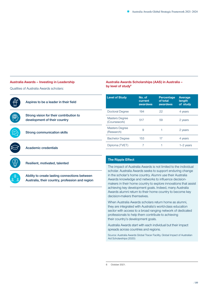Average length of study

#### **Australia Awards – Investing in Leadership**

Qualities of Australia Awards scholars:



Ability to create lasting connections between Australia, their country, profession and region

The impact of Australia Awards is not limited to the individual scholar. Australia Awards seeks to support enduring change in the scholar's home country. Alumni use their Australia Awards knowledge and networks to influence decisionmakers in their home country to explore innovations that assist achieving key development goals. Indeed, many Australia Awards alumni return to their home country to become key decision-makers themselves.

**Australia Awards Scholarships (AAS) in Australia –** 

by level of study<sup>6</sup>

When Australia Awards scholars return home as alumni, they are integrated with Australia's world-class education sector with access to a broad ranging network of dedicated professionals to help them contribute to achieving their country's development goals.

Australia Awards start with each individual but their impact spreads across countries and regions.

Source: Australia Awards Global Tracer Facility, Global Impact of Australian Aid Scholarships (2020)

<sup>6</sup> October 2021.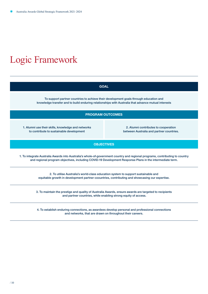# Logic Framework

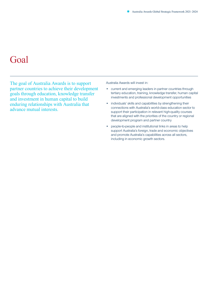### <span id="page-10-0"></span>Goal

The goal of Australia Awards is to support partner countries to achieve their development goals through education, knowledge transfer and investment in human capital to build enduring relationships with Australia that advance mutual interests.

Australia Awards will invest in:

- current and emerging leaders in partner countries through tertiary education, training, knowledge transfer, human capital investments and professional development opportunities
- individuals' skills and capabilities by strengthening their connections with Australia's world-class education sector to support their participation in relevant high-quality courses that are aligned with the priorities of the country or regional development program and partner country
- people-to-people and institutional links in areas to help support Australia's foreign, trade and economic objectives and promote Australia's capabilities across all sectors, including in economic growth sectors.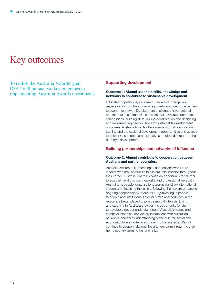### <span id="page-11-0"></span>Key outcomes

To realise the Australia Awards' goal, DFAT will pursue two key outcomes in implementing Australia Awards investments.

### Supporting development

### Outcome 1: Alumni use their skills, knowledge and networks to contribute to sustainable development.

Educated populations, as powerful drivers of change, are necessary for countries to reduce poverty and overcome barriers to economic growth. Development challenges have regional and international dimensions and Australia Awards contribute to linking ideas, building skills, driving collaboration and designing and implementing new solutions for sustainable development outcomes. Australia Awards offers a suite of quality education, training and professional development opportunities and access to networks to assist alumni to make a tangible difference to their country's development.

### Building partnerships and networks of influence

#### Outcome 2: Alumni contribute to cooperation between Australia and partner countries.

Australia Awards build meaningful connections with future leaders who may contribute to bilateral relationships throughout their career. Australia Awards provide an opportunity for alumni to establish relationships, networks and professional links with Australia, its people, organisations alongside fellow international students. Maintaining these links following their award enhances ongoing cooperation with Australia. By investing in peopleto-people and institutional links, Australia and countries in the region are better placed to pursue mutual interests. Living and studying in Australia provides the opportunity for alumni to develop a deeper understanding of Australia's values and technical expertise; conversely interactions with Australian networks increases understanding of the cultural, social and economic drivers underpinning our mutual interests. We will continue to deepen relationships after our alumni return to their home country, forming life-long links.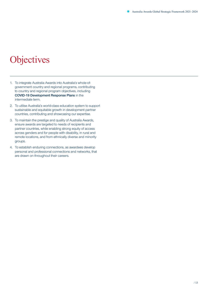# <span id="page-12-0"></span>**Objectives**

- 1. To integrate Australia Awards into Australia's whole-ofgovernment country and regional programs, contributing to country and regional program objectives, including COVID-19 Development Response Plans in the intermediate term.
- 2. To utilise Australia's world-class education system to support sustainable and equitable growth in development partner countries, contributing and showcasing our expertise.
- 3. To maintain the prestige and quality of Australia Awards, ensure awards are targeted to needs of recipients and partner countries, while enabling strong equity of access across genders and for people with disability, in rural and remote locations, and from ethnically diverse and minority groups.
- 4. To establish enduring connections, as awardees develop personal and professional connections and networks, that are drawn on throughout their careers.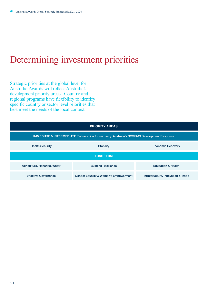# <span id="page-13-0"></span>Determining investment priorities

Strategic priorities at the global level for Australia Awards will reflect Australia's development priority areas. Country and regional programs have flexibility to identify specific country or sector level priorities that best meet the needs of the local context.

|                                                                                                          | <b>PRIORITY AREAS</b>                            |                                    |  |
|----------------------------------------------------------------------------------------------------------|--------------------------------------------------|------------------------------------|--|
| <b>IMMEDIATE &amp; INTERMEDIATE Partnerships for recovery: Australia's COVID-19 Development Response</b> |                                                  |                                    |  |
| <b>Health Security</b>                                                                                   | <b>Stability</b>                                 | <b>Economic Recovery</b>           |  |
| <b>LONG TERM</b>                                                                                         |                                                  |                                    |  |
| Agriculture, Fisheries, Water                                                                            | <b>Building Resilience</b>                       | <b>Education &amp; Health</b>      |  |
| <b>Effective Governance</b>                                                                              | <b>Gender Equality &amp; Women's Empowerment</b> | Infrastructure, Innovation & Trade |  |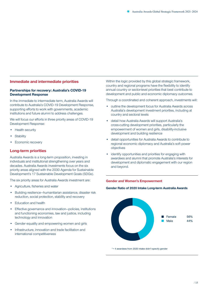### Immediate and intermediate priorities

### Partnerships for recovery: Australia's COVID-19 Development Response

In the immediate to intermediate term, Australia Awards will contribute to Australia's COVID-19 Development Response, supporting efforts to work with governments, academic institutions and future alumni to address challenges.

We will focus our efforts in three priority areas of COVID-19 Development Response:

- Health security
- **Stability**
- Economic recovery

### Long-term priorities

Australia Awards is a long-term proposition, investing in individuals and institutional strengthening over years and decades. Australia Awards investments focus on the six priority areas aligned with the 2030 Agenda for Sustainable Development's 17 Sustainable Development Goals (SDGs).

The six priority areas for Australia Awards investment are:

- Agriculture, fisheries and water
- Building resilience—humanitarian assistance, disaster risk reduction, social protection, stability and recovery
- **Education and health**
- Effective governance and innovation—policies, institutions and functioning economies, law and justice, including technology and innovation
- Gender equality and empowering women and girls
- Infrastructure, innovation and trade facilitation and international competitiveness

Within the logic provided by this global strategic framework, country and regional programs have the flexibility to identify annual country or sector-level priorities that best contribute to development and public and economic diplomacy outcomes.

Through a coordinated and coherent approach, investments will:

- outline the development focus for Australia Awards across Australia's development investment priorities, including at country and sectoral levels
- detail how Australia Awards will support Australia's cross-cutting development priorities, particularly the empowerment of women and girls, disability-inclusive development and building resilience
- detail opportunities for Australia Awards to contribute to regional economic diplomacy and Australia's soft power objectives
- identify opportunities and priorities for engaging with awardees and alumni that promote Australia's interests for development and diplomatic engagement with our region and beyond.

#### **Gender and Women's Empowerment**

#### **Gender Ratio of 2020 Intake Long-term Australia Awards**



\*= 4 awardees from 2020 intake didn't specify gender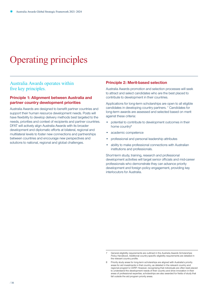# <span id="page-15-0"></span>Operating principles

### Australia Awards operates within five key principles.

### Principle 1: Alignment between Australia and partner country development priorities

Australia Awards are designed to benefit partner countries and support their human resource development needs. Posts will have flexibility to develop delivery methods best targeted to the needs, priorities and context of recipients and partner countries. DFAT will actively align Australia Awards with its broader development and diplomatic efforts at bilateral, regional and multilateral levels to foster new connections and partnerships between countries and encourage new perspectives and solutions to national, regional and global challenges.

### Principle 2: Merit-based selection

Australia Awards promotion and selection processes will seek to attract and select candidates who are the best placed to contribute to development in their countries.

Applications for long-term scholarships are open to all eligible candidates in developing country partners.<sup>7</sup> Candidates for long-term awards are assessed and selected based on merit against these criteria:

- potential to contribute to development outcomes in their home country<sup>8</sup>
- academic competence
- professional and personal leadership attributes
- ability to make professional connections with Australian institutions and professionals.

Short-term study, training, research and professional development activities will target senior officials and mid-career professionals who demonstrate they can advance priority development and foreign policy engagement, providing key interlocutors for Australia.

<sup>7</sup> General eligibility requirements are outlined in the *Australia Awards Scholarships Policy Handbook*. Additional country-specific eligibility requirements are detailed in the relevant country profile.

<sup>8</sup> Priority study areas for long-term scholarships are aligned with Australia's priority areas for aid investments in that country, as detailed in the relevant country and regional program's CDRP. However, recognising that individuals are often best placed to understand the development needs of their country and drive innovation in their areas of professional expertise, scholarships are also awarded for fields of study that fall outside the aid program priority areas.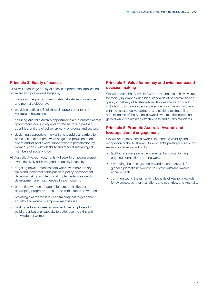### Principle 3: Equity of access

DFAT will encourage equity of access at promotion, application, on-award and post-award stages by:

- maintaining equal numbers of Australia Awards for women and men at a global level
- providing sufficient English level support prior to an in-Australia scholarships
- ensuring Australia Awards opportunities are promoted across government, civil society and private sectors in partner countries, and the effective targeting of groups and sectors
- designing appropriate interventions to address barriers to participation at the pre-award stage and provision of onaward and/or post-award support where participation by women, people with disability and other disadvantaged members of society is low.

All Australia Awards investments will seek to empower women, and will effectively address gender equality issues by:

- targeting development sectors where women's tertiary skills and increased participation in policy development, decision-making and technical implementation aspects of development are most needed in each country
- promoting women's leadership across initiatives or developing programs and support with a focus on women
- providing awards for study and training that target gender equality and women's empowerment issues
- working with awardees, alumni and their employers to build organisational capacity to better use the skills and knowledge of women.

### Principle 4: Value for money and evidence-based decision making

We will ensure that Australia Awards investments achieve value for money by emphasising high standards of performance and quality in delivery of Australia Awards investments. This will include focusing on evidence-based decision making; working with the most effective partners; and seeking to streamline administration of the Australia Awards where efficiencies can be gained while maintaining effectiveness and quality standards.

### Principle 5: Promote Australia Awards and leverage alumni engagement

We will promote Australia Awards to enhance visibility and recognition of the Australian Government's prestigious inbound Awards initiative, including by:

- facilitating strong alumni engagement and maintaining ongoing connections and networks
- leveraging the prestige, access and reach of Australia's global diplomatic network to celebrate Australia Awards achievements
- communicating the far-ranging benefits of Australia Awards for awardees, partner institutions and countries, and Australia.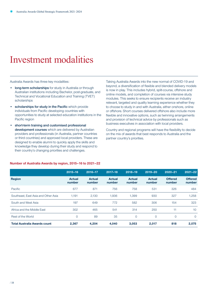### <span id="page-17-0"></span>Investment modalities

Australia Awards has three key modalities:

- long-term scholarships for study in Australia or through Australian institutions including Bachelor, post-graduate, and Technical and Vocational Education and Training (TVET) scholarships
- scholarships for study in the Pacific which provide individuals from Pacific developing countries with opportunities to study at selected education institutions in the Pacific region
- short-term training and customised professional development courses which are delivered by Australian providers and professionals (in Australia, partner countries or third countries) and approved local providers. These are designed to enable alumni to quickly apply the skills and knowledge they develop during their study and respond to their country's changing priorities and challenges.

Taking Australia Awards into the new normal of COVID-19 and beyond, a diversification of flexible and blended delivery models is now in play. This includes hybrid, split-course, offshore and online models, and completion of courses via intensive study modules. This seeks to ensure recipients receive an industry relevant, targeted and quality learning experience whether they to choose to study in and with Australia, either onshore, online or offshore. Short courses delivered offshore also include more flexible and innovative options, such as twinning arrangements and provision of technical advice by professionals such as business executives in association with local providers.

Country and regional programs will have the flexibility to decide on the mix of awards that best responds to Australia and the partner country's priorities.

|                                     | $2015 - 16$             | 2016-17                 | $2017 - 18$             | 2018-19                 | 2019-20                 | $2020 - 21$              | $2021 - 22$              |
|-------------------------------------|-------------------------|-------------------------|-------------------------|-------------------------|-------------------------|--------------------------|--------------------------|
| <b>Region</b>                       | <b>Actual</b><br>number | <b>Actual</b><br>number | <b>Actual</b><br>number | <b>Actual</b><br>number | <b>Actual</b><br>number | <b>Offered</b><br>number | <b>Offered</b><br>number |
| Pacific                             | 677                     | 871                     | 756                     | 758                     | 531                     | 326                      | 484                      |
| Southeast, East Asia and Other Asia | 1.191                   | 2.130                   | 1,936                   | 1,399                   | 930                     | 327                      | 1,258                    |
| South and West Asia                 | 197                     | 649                     | 772                     | 582                     | 306                     | 154                      | 323                      |
| Africa and the Middle East          | 302                     | 465                     | 541                     | 314                     | 250                     | 11                       | 10                       |
| <b>Rest of the World</b>            | 0                       | 89                      | 35                      | $\mathbf{O}$            | $\overline{0}$          | 0                        | $\Omega$                 |
| <b>Total Australia Awards count</b> | 2,367                   | 4,204                   | 4,040                   | 3,053                   | 2,017                   | 818                      | 2,075                    |

#### **Number of Australia Awards by region, 2015–16 to 2021–22**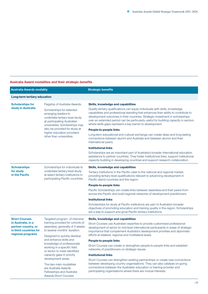### **Australia Award modalities and their strategic benefits**

| <b>Australia Awards modality</b>                                                                                 |                                                                                                                                                                                                                                                                                                                                                                                                                                                       | <b>Strategic benefits</b>                                                                                                                                                                                                                                                                                                                                                                                                                                                                                                                                                                                                                                                                                                                                                                                                                                                                                                                                 |  |  |
|------------------------------------------------------------------------------------------------------------------|-------------------------------------------------------------------------------------------------------------------------------------------------------------------------------------------------------------------------------------------------------------------------------------------------------------------------------------------------------------------------------------------------------------------------------------------------------|-----------------------------------------------------------------------------------------------------------------------------------------------------------------------------------------------------------------------------------------------------------------------------------------------------------------------------------------------------------------------------------------------------------------------------------------------------------------------------------------------------------------------------------------------------------------------------------------------------------------------------------------------------------------------------------------------------------------------------------------------------------------------------------------------------------------------------------------------------------------------------------------------------------------------------------------------------------|--|--|
| Long-term tertiary education                                                                                     |                                                                                                                                                                                                                                                                                                                                                                                                                                                       |                                                                                                                                                                                                                                                                                                                                                                                                                                                                                                                                                                                                                                                                                                                                                                                                                                                                                                                                                           |  |  |
| <b>Scholarships for</b><br>study in Australia                                                                    | Flagship of Australia Awards.<br>Scholarships for selected<br>emerging leaders to<br>undertake tertiary level study<br>at participating Australian<br>universities. Scholarships may<br>also be provided for study at<br>higher education providers<br>other than universities                                                                                                                                                                        | Skills, knowledge and capabilities<br>Quality tertiary qualifications can equip individuals with skills, knowledge,<br>capabilities and professional standing that enhances their ability to contribute to<br>development outcomes in their countries. Strategic investment in scholarships<br>over an extended period can be particularly useful for building capacity in sectors<br>where skills gaps represent a key barrier to development.<br>People-to-people links<br>Long-term educational and cultural exchange can create deep and long-lasting<br>connections between alumni and Australia and between alumni and their<br>international peers.<br><b>Institutional links</b><br>Scholarships are an important part of Australia's broader international education<br>assistance to partner countries. They foster institutional links, support institutional<br>capacity building in developing countries and support research collaboration. |  |  |
| <b>Scholarships</b><br>for study<br>in the Pacific                                                               | Scholarships for individuals to<br>undertake tertiary level study<br>at select tertiary institutions in<br>participating Pacific countries.                                                                                                                                                                                                                                                                                                           | Skills, knowledge and capabilities<br>Tertiary institutions in the Pacific cater to the national and regional market,<br>providing tertiary level qualifications relevant to advancing development in<br>Pacific island countries and the region.<br>People-to-people links<br>Pacific Scholarships can create links between awardees and their peers from<br>across the Pacific and build regional networks of development practitioners.<br><b>Institutional links</b><br>Scholarships for study at Pacific institutions are part of Australia's broader<br>objectives of promoting education and training quality in the region. Scholarships<br>are a way to support and grow Pacific tertiary institutions.                                                                                                                                                                                                                                          |  |  |
| <b>Short Courses</b><br>in Australia, in a<br>partner country, or<br>in third countries for<br>regional programs | Targeted program of intensive<br>training provided for cohorts of<br>awardees, generally of 3 weeks<br>to several months' duration.<br>Designed to quickly develop<br>and enhance skills and<br>knowledge of professionals<br>working in a specific field<br>or sector to meet identified<br>capacity gaps in priority<br>development areas.<br>The two main modalities<br>are Australia Awards<br>Fellowships and Australia<br>Awards Short Courses. | Skills, knowledge and capabilities<br>Short Courses use Australian expertise to provide customised professional<br>development of senior to mid-level international participants in areas of strategic<br>importance that complement Australia's development priorities and diplomatic<br>efforts at bilateral, regional and multilateral levels.<br>People-to-people links<br>Short Courses can create or strengthen people-to-people links and establish<br>networks of practitioners on strategic issues.<br><b>Institutional links</b><br>Short Courses can strengthen existing partnerships or create new connections<br>between developing country organisations. They can also catalyse on-going<br>connections between the Australian education or training provider and<br>participating organisations where there are mutual interests.                                                                                                         |  |  |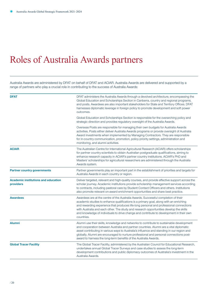### <span id="page-19-0"></span>Roles of Australia Awards partners

Australia Awards are administered by DFAT on behalf of DFAT and ACIAR. Australia Awards are delivered and supported by a range of partners who play a crucial role in contributing to the success of Australia Awards:

| <b>DFAT</b>                                             | DFAT administers the Australia Awards through a devolved architecture, encompassing the<br>Global Education and Scholarships Section in Canberra, country and regional programs,<br>and posts. Awardees are also important stakeholders for State and Territory Offices. DFAT<br>harnesses diplomatic leverage in foreign policy to promote development and soft power<br>outcomes.                                                                                      |
|---------------------------------------------------------|--------------------------------------------------------------------------------------------------------------------------------------------------------------------------------------------------------------------------------------------------------------------------------------------------------------------------------------------------------------------------------------------------------------------------------------------------------------------------|
|                                                         | Global Education and Scholarships Section is responsible for the overarching policy and<br>strategic direction and provides regulatory oversight of the Australia Awards.                                                                                                                                                                                                                                                                                                |
|                                                         | Overseas Posts are responsible for managing their own budgets for Australia Awards<br>activities. Posts either deliver Australia Awards programs or provide oversight of Australia<br>Award investments when implemented by Managing Contractors. They are responsible<br>for in-country communication, promotion, policy priority settings, administration and<br>monitoring, and alumni activities.                                                                    |
| <b>ACIAR</b>                                            | The Australian Centre for International Agricultural Research (ACIAR) offers scholarships<br>for partner country scientists to obtain Australian postgraduate qualifications, aiming to<br>enhance research capacity in ACIAR's partner country institutions. ACIAR's PhD and<br>Masters' scholarships for agricultural researchers are administered through the Australia<br>Awards system.                                                                             |
| <b>Partner country governments</b>                      | Partner governments play an important part in the establishment of priorities and targets for<br>Australia Awards in each country or region.                                                                                                                                                                                                                                                                                                                             |
| <b>Academic institutions and education</b><br>providers | Deliver targeted, relevant and high-quality courses, and provide effective support across the<br>scholar journey. Academic institutions provide scholarship management services according<br>to contracts, including pastoral care by Student Contact Officers and others. Institutions<br>also promote relevant on-award enrichment opportunities and share best practice.                                                                                              |
| <b>Awardees</b>                                         | Awardees are at the centre of the Australia Awards. Successful completion of their<br>academic studies to enhance qualifications is a primary goal, along with an enriching<br>and rewarding experience that produces life-long personal and professional connections<br>with Australia and each other. The study and research opportunities develop the skills<br>and knowledge of individuals to drive change and contribute to development in their own<br>countries. |
| <b>Alumni</b>                                           | Alumni use their skills, knowledge and networks to contribute to sustainable development<br>and cooperation between Australia and partner countries. Alumni are a vital diplomatic<br>asset contributing in various ways to Australia's influence and standing in our region and<br>globally. Alumni are encouraged to nurture professional and personal connections post-<br>award to harness the long-term benefits of the Australia Awards.                           |
| <b>Global Tracer Facility</b>                           | The Global Tracer Facility, administered by the Australian Council for Educational Research,<br>undertakes annual Global Tracer Surveys and case studies to assess the long-term<br>development contributions and public diplomacy outcomes of Australia's investment in the<br>Australia Awards.                                                                                                                                                                        |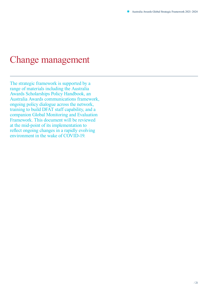### <span id="page-20-0"></span>Change management

The strategic framework is supported by a range of materials including the Australia Awards Scholarships Policy Handbook, an Australia Awards communications framework, ongoing policy dialogue across the network, training to build DFAT staff capability, and a companion Global Monitoring and Evaluation Framework. This document will be reviewed at the mid-point of its implementation to reflect ongoing changes in a rapidly evolving environment in the wake of COVID-19.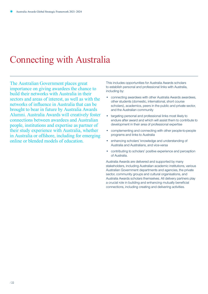### <span id="page-21-0"></span>Connecting with Australia

The Australian Government places great importance on giving awardees the chance to build their networks with Australia in their sectors and areas of interest, as well as with the networks of influence in Australia that can be brought to bear in future by Australia Awards Alumni. Australia Awards will creatively foster connections between awardees and Australian people, institutions and expertise as partner of their study experience with Australia, whether in Australia or offshore, including for emerging online or blended models of education.

This includes opportunities for Australia Awards scholars to establish personal and professional links with Australia, including by:

- connecting awardees with other Australia Awards awardees, other students (domestic, international, short course scholars), academics, peers in the public and private sector, and the Australian community
- targeting personal and professional links most likely to endure after award and which will assist them to contribute to development in their area of professional expertise
- complementing and connecting with other people-to-people programs and links to Australia
- enhancing scholars' knowledge and understanding of Australia and Australians, and vice-versa
- contributing to scholars' positive experience and perception of Australia.

Australia Awards are delivered and supported by many stakeholders, including Australian academic institutions, various Australian Government departments and agencies, the private sector, community groups and cultural organisations, and Australia Awards scholars themselves. All delivery partners play a crucial role in building and enhancing mutually beneficial connections, including creating and delivering activities.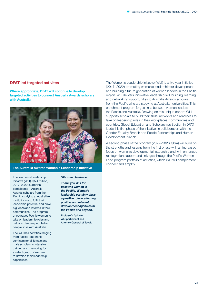### DFAT-led targeted activites

**Where appropriate, DFAT will continue to develop targeted activities to connect Australia Awards scholars with Australia.**



The Australia Awards Women's Leadership Initiative

The [Women's Leadership](https://womensleadershipinitiative.org.au)  [Initiative \(](https://womensleadershipinitiative.org.au)WLI) (\$5.4 million, 2017–2022) supports participants – Australia Awards scholars from the Pacific studying at Australian institutions – to fulfil their leadership potential and drive big ideas and reforms in their communities. The program encourages Pacific women to take on leadership roles and helps to deepen people-topeople links with Australia.

The WLI has activities ranging from Pacific leadership seminars for all female and male scholars to intensive training and mentoring for a select group of women to develop their leadership capabilities.

#### 'We mean business!

Thank you WLI for believing women in the Pacific. Women's leadership certainly plays a positive role in effecting positive and relevant development agencies in the Pacific and beyond.'

Eselealofa Apinelu, WLI participant and Attorney-General of Tuvalu The Women's Leadership Initiative (WLI) is a five-year initiative (2017–2022) promoting women's leadership for development and building a future generation of women leaders in the Pacific region. WLI delivers innovative leadership skill building, learning and networking opportunities to Australia Awards scholars from the Pacific who are studying at Australian universities. This enrichment program forges links between women leaders in the Pacific and Australia. Drawing on this unique cohort, WLI supports scholars to build their skills, networks and readiness to take on leadership roles in their workplaces, communities and countries. Global Education and Scholarships Section in DFAT leads this first phase of the Initiative, in collaboration with the Gender Equality Branch and Pacific Partnerships and Human Development Branch.

A second phase of the program (2022–2026, \$8m) will build on the strengths and lessons from the first phase with an increased focus on women's developmental leadership and with enhanced reintegration support and linkages through the Pacific Women Lead program portfolio of activities, which WLI will complement, connect and amplify.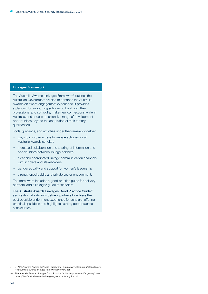#### **Linkages Framework**

The [Australia Awards Linkages Framework](https://www.dfat.gov.au/people-to-people/australia-awards/Pages/australia-awards-connecting-australia)<sup>9</sup> outlines the Australian Government's vision to enhance the Australia Awards on-award engagement experience. It provides a platform for supporting scholars to build both their professional and soft skills, make new connections while in Australia, and access an extensive range of development opportunities beyond the acquisition of their tertiary qualification.

Tools, guidance, and activities under the framework deliver:

- ways to improve access to linkage activities for all Australia Awards scholars
- increased collaboration and sharing of information and opportunities between linkage partners
- clear and coordinated linkage communication channels with scholars and stakeholders
- gender equality and support for women's leadership
- strengthened public and private sector engagement.

The framework includes a good practice guide for delivery partners, and a linkages guide for scholars.

The [Australia Awards Linkages Good Practice Guide](https://www.dfat.gov.au/sites/default/files/australia-awards-linkages-good-practice-guide.pdf)<sup>10</sup> assists Australia Awards delivery partners to achieve the best possible enrichment experience for scholars, offering practical tips, ideas and highlights existing good practice case studies.

<sup>9</sup> DFAT's *Australia Awards Linkages Framework*. https://www.dfat.gov.au/sites/default/ files/australia-awards-linkages-framework-overview.pdf

<sup>10</sup> The Australia Awards Linkages Good Practice Guide: https://www.dfat.gov.au/sites/ default/files/australia-awards-linkages-good-practice-guide.pdf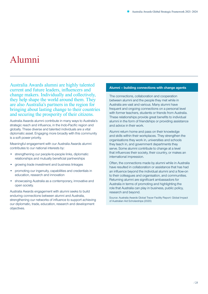### <span id="page-24-0"></span>Alumni

Australia Awards alumni are highly talented current and future leaders, influencers and change makers. Individually and collectively, they help shape the world around them. They are also Australia's partners in the region for bringing about lasting change to their countries and securing the prosperity of their citizens.

Australia Awards alumni contribute in many ways to Australia's strategic reach and influence, in the Indo-Pacific region and globally. These diverse and talented individuals are a vital diplomatic asset. Engaging more broadly with this community is a soft power priority.

Meaningful engagement with our Australia Awards alumni contributes to our national interests by:

- strengthening our people-to-people links, diplomatic relationships and mutually beneficial partnerships
- growing trade investment and business linkages
- promoting our ingenuity, capabilities and credentials in education, research and innovation
- showcasing Australia as a contemporary, innovative and open society.

Australia Awards engagement with alumni seeks to build enduring connections between alumni and Australia, strengthening our networks of influence to support achieving our diplomatic, trade, education, research and development objectives.

### **Alumni – building connections with change agents**

The connections, collaboration and cooperation between alumni and the people they met while in Australia are vast and various. Many alumni have frequent and ongoing connections on a personal level with former teachers, students or friends from Australia. These relationships provide great benefits to individual alumni in the form of friendships or providing assistance and advice in their work.

Alumni return home and pass on their knowledge and skills within their workplaces. They strengthen the organisations they work in, universities and schools they teach in, and government departments they serve. Some alumni contribute to change at a level that influences their society, their country, or makes an international impression.

Often, the connections made by alumni while in Australia have resulted in collaboration or assistance that has had an influence beyond the individual alumni and a flow-on to their colleagues and organisation, and communities. Returning alumni are significant ambassadors for Australia in terms of promoting and highlighting the role that Australia can play in business, public policy, research and beyond.

Source: [Australia Awards Global Tracer Facility Report: Global Impact](https://www.dfat.gov.au/sites/default/files/global-impact-australian-aid-scholarships-long-term-outcomes-alumni.pdf)  [of Australian Aid Scholarships](https://www.dfat.gov.au/sites/default/files/global-impact-australian-aid-scholarships-long-term-outcomes-alumni.pdf) (2020)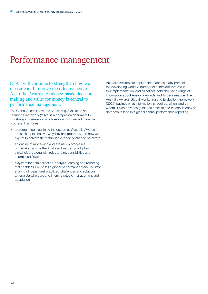### <span id="page-25-0"></span>Performance management

DFAT will continue to strengthen how we measure and improve the effectiveness of Australia Awards. Evidence-based decision making and value for money is central to performance management.

The Global Australia Awards Monitoring, Evaluation and Learning Framework (2021) is a companion document to this strategic framework which sets out how we will measure progress. It includes:

- a program logic outlining the outcomes Australia Awards are seeking to achieve, why they are important, and how we expect to achieve them through a range of change pathways
- an outline of monitoring and evaluation processes undertaken across the Australia Awards cycle by key stakeholders along with roles and responsibilities and information flows
- a system for data collection, analysis, learning and reporting that enables DFAT to tell a global performance story facilitate sharing of ideas, best practices, challenges and solutions among stakeholders and inform strategic management and adaptation.

Australia Awards are implemented across many parts of the developing world. A number of actors are involved in this implementation, and all collect, hold and use a range of information about Australia Awards and its performance. The Australia Awards Global Monitoring and Evaluation Framework (2021) outlines what information is required, when, and by whom. It also provides guidance notes to ensure consistency of data sets to feed into global annual performance reporting.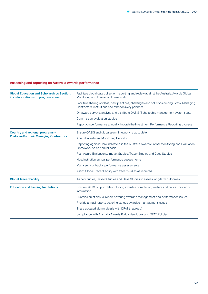### **Assessing and reporting on Australia Awards performance**

| <b>Global Education and Scholarships Section,</b><br>in collaboration with program areas | Facilitate global data collection, reporting and review against the Australia Awards Global<br>Monitoring and Evaluation Framework                    |  |  |  |  |
|------------------------------------------------------------------------------------------|-------------------------------------------------------------------------------------------------------------------------------------------------------|--|--|--|--|
|                                                                                          | Facilitate sharing of ideas, best practices, challenges and solutions among Posts, Managing<br>Contractors, institutions and other delivery partners. |  |  |  |  |
|                                                                                          | On-award surveys, analyse and distribute OASIS (Scholarship management system) data                                                                   |  |  |  |  |
|                                                                                          | Commission evaluation studies                                                                                                                         |  |  |  |  |
|                                                                                          | Report on performance annually through the Investment Performance Reporting process                                                                   |  |  |  |  |
| Country and regional programs -<br><b>Posts and/or their Managing Contractors</b>        | Ensure OASIS and global alumni network is up to date                                                                                                  |  |  |  |  |
|                                                                                          | Annual Investment Monitoring Reports                                                                                                                  |  |  |  |  |
|                                                                                          | Reporting against Core Indicators in the Australia Awards Global Monitoring and Evaluation<br>Framework on an annual basis                            |  |  |  |  |
|                                                                                          | Post-Award Evaluations, Impact Studies, Tracer Studies and Case Studies                                                                               |  |  |  |  |
|                                                                                          | Host institution annual performance assessments                                                                                                       |  |  |  |  |
|                                                                                          | Managing contractor performance assessments                                                                                                           |  |  |  |  |
|                                                                                          | Assist Global Tracer Facility with tracer studies as required                                                                                         |  |  |  |  |
| <b>Global Tracer Facility</b>                                                            | Tracer Studies, Impact Studies and Case Studies to assess long-term outcomes                                                                          |  |  |  |  |
| <b>Education and training Institutions</b>                                               | Ensure OASIS is up to date including awardee completion, welfare and critical incidents<br>information                                                |  |  |  |  |
|                                                                                          | Submission of annual report covering awardee management and performance issues                                                                        |  |  |  |  |
|                                                                                          | Provide annual reports covering various awardee management issues                                                                                     |  |  |  |  |
|                                                                                          | Share updated alumni details with DFAT (if agreed)                                                                                                    |  |  |  |  |
|                                                                                          | compliance with Australia Awards Policy Handbook and DFAT Policies                                                                                    |  |  |  |  |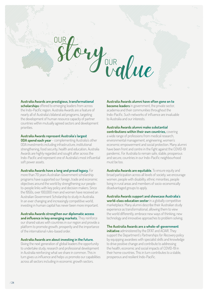### <span id="page-27-0"></span>**Australia Awards are prestigious, transformational**

**scholarships** offered to emerging leaders from across the Indo-Pacific region. Australia Awards are a feature of nearly all of Australia's bilateral aid programs, targeting the development of human resource capacity of partner countries within mutually agreed sectors and development priorities.

### **Australia Awards represent Australia's largest**

**ODA spend each year** – complementing Australia's other ODA investments including infrastructure, institutional strengthening, food security, health and education, Australia Awards are highly regarded and sought after across the Indo-Pacific and represent one of Australia's most influential soft power assets.

### **Australia Awards have a long and proud legacy.** For

more than 70 years Australian Government scholarship programs have supported our foreign, trade and economic objectives around the world by strengthening our peopleto-people links with key policy and decision makers. Since the 1950s, over 100,000 men and women have received an Australian Government Scholarship to study in Australia. In an ever changing and increasingly competitive world, investing in human capital has never been more important.

**Australia Awards strengthen our diplomatic access and influence in key emerging markets.** They reinforce our shared values with countries in our region and provide a platform to promote growth, prosperity and the importance of the international rules-based order.

### **Australia Awards are about investing in the future.**

Giving the next generation of global leaders the opportunity to undertake study, research and professional development in Australia reinforcing what we share in common. This in turn gives us influence and helps us promote our capabilities across all sectors including in economic growth sectors.

#### **Australia Awards alumni have often gone on to**

**become leaders** in government, the private sector, academia and their communities throughout the Indo-Pacific. Such networks of influence are invaluable to Australia and our interests.

### **Australia Awards alumni make substantial contributions within their own countries,** covering

a wide range of professions from medical research, environmental management, engineering, women's economic empowerment and social protection. Many alumni have been front and centre in the fight against the COVID-19 pandemic. For Australia to remain safe, stable, prosperous and secure, countries in our Indo-Pacific neighbourhood must be too.

**Australia Awards are equitable.** To ensure equity and broad participation across all levels of society, we encourage women, people with disability, ethnic minorities, people living in rural areas and members of socio-economically disadvantaged groups to apply.

### **Australia Awards support and showcase Australia's**

**world-class education sector** in a globally competitive marketplace. Many alumni describe their Australian study experience as transformational, allowing them to view the world differently, embrace new ways of thinking, new technology and innovative approaches to problem solving.

### **The Australia Awards are a whole-of-government**

**initiative** administered by the DFAT and ACIAR. They support the Department's Partnerships for Recovery policy by equipping awardees with specialist skills and knowledge to drive positive change and contribute to addressing the health, economic and social impacts of COVID-19 in their home countries. This in turn contributes to a stable, prosperous and resilient Indo-Pacific.